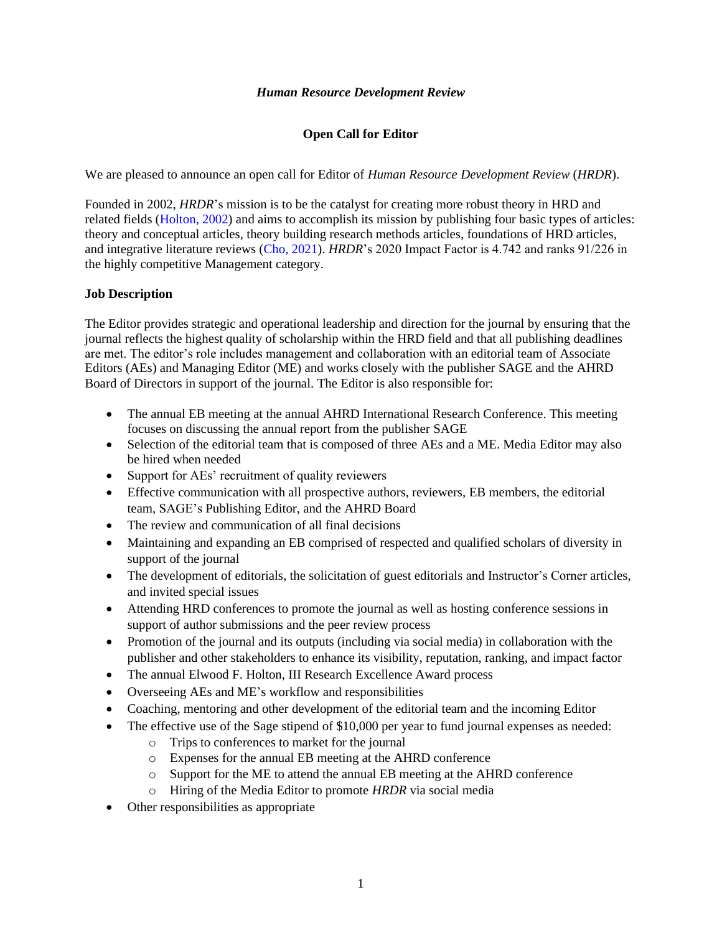#### *Human Resource Development Review*

## **Open Call for Editor**

We are pleased to announce an open call for Editor of *Human Resource Development Review* (*HRDR*).

Founded in 2002, *HRDR*'s mission is to be the catalyst for creating more robust theory in HRD and related fields (Holton, 2002) and aims to accomplish its mission by publishing four basic types of articles: theory and conceptual articles, theory building research methods articles, foundations of HRD articles, and integrative literature reviews (Cho, 2021). *HRDR*'s 2020 Impact Factor is 4.742 and ranks 91/226 in the highly competitive Management category.

### **Job Description**

The Editor provides strategic and operational leadership and direction for the journal by ensuring that the journal reflects the highest quality of scholarship within the HRD field and that all publishing deadlines are met. The editor's role includes management and collaboration with an editorial team of Associate Editors (AEs) and Managing Editor (ME) and works closely with the publisher SAGE and the AHRD Board of Directors in support of the journal. The Editor is also responsible for:

- The annual EB meeting at the annual AHRD International Research Conference. This meeting focuses on discussing the annual report from the publisher SAGE
- Selection of the editorial team that is composed of three AEs and a ME. Media Editor may also be hired when needed
- Support for AEs' recruitment of quality reviewers
- Effective communication with all prospective authors, reviewers, EB members, the editorial team, SAGE's Publishing Editor, and the AHRD Board
- The review and communication of all final decisions
- Maintaining and expanding an EB comprised of respected and qualified scholars of diversity in support of the journal
- The development of editorials, the solicitation of guest editorials and Instructor's Corner articles, and invited special issues
- Attending HRD conferences to promote the journal as well as hosting conference sessions in support of author submissions and the peer review process
- Promotion of the journal and its outputs (including via social media) in collaboration with the publisher and other stakeholders to enhance its visibility, reputation, ranking, and impact factor
- The annual Elwood F. Holton, III Research Excellence Award process
- Overseeing AEs and ME's workflow and responsibilities
- Coaching, mentoring and other development of the editorial team and the incoming Editor
- The effective use of the Sage stipend of \$10,000 per year to fund journal expenses as needed:
	- o Trips to conferences to market for the journal
	- o Expenses for the annual EB meeting at the AHRD conference
	- o Support for the ME to attend the annual EB meeting at the AHRD conference
	- o Hiring of the Media Editor to promote *HRDR* via social media
- Other responsibilities as appropriate